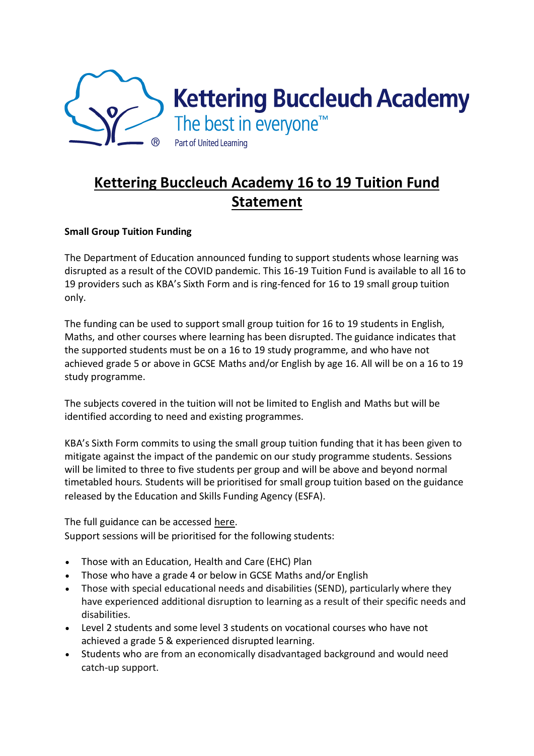

## **Kettering Buccleuch Academy 16 to 19 Tuition Fund Statement**

## **Small Group Tuition Funding**

The Department of Education announced funding to support students whose learning was disrupted as a result of the COVID pandemic. This 16-19 Tuition Fund is available to all 16 to 19 providers such as KBA's Sixth Form and is ring-fenced for 16 to 19 small group tuition only.

The funding can be used to support small group tuition for 16 to 19 students in English, Maths, and other courses where learning has been disrupted. The guidance indicates that the supported students must be on a 16 to 19 study programme, and who have not achieved grade 5 or above in GCSE Maths and/or English by age 16. All will be on a 16 to 19 study programme.

The subjects covered in the tuition will not be limited to English and Maths but will be identified according to need and existing programmes.

KBA's Sixth Form commits to using the small group tuition funding that it has been given to mitigate against the impact of the pandemic on our study programme students. Sessions will be limited to three to five students per group and will be above and beyond normal timetabled hours. Students will be prioritised for small group tuition based on the guidance released by the Education and Skills Funding Agency (ESFA).

The full guidance can be accessed [here.](https://www.gov.uk/guidance/16-to-19-funding-16-to-19-tuition-fund) Support sessions will be prioritised for the following students:

- Those with an Education, Health and Care (EHC) Plan
- Those who have a grade 4 or below in GCSE Maths and/or English
- Those with special educational needs and disabilities (SEND), particularly where they have experienced additional disruption to learning as a result of their specific needs and disabilities.
- Level 2 students and some level 3 students on vocational courses who have not achieved a grade 5 & experienced disrupted learning.
- Students who are from an economically disadvantaged background and would need catch-up support.